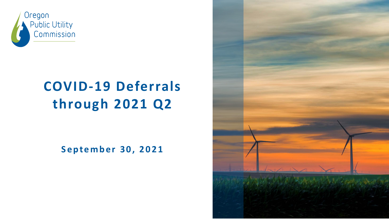

# **COVID-19 Deferrals through 2021 Q2**

**September 30, 2021**

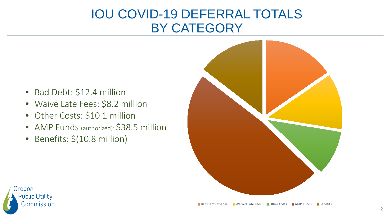#### IOU COVID-19 DEFERRAL TOTALS BY CATEGORY

- Bad Debt: \$12.4 million
- Waive Late Fees: \$8.2 million
- Other Costs: \$10.1 million
- AMP Funds (authorized): \$38.5 million
- Benefits: \$(10.8 million)



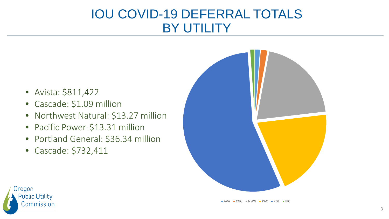#### IOU COVID-19 DEFERRAL TOTALS BY UTILITY

- Avista: \$811,422
- Cascade: \$1.09 million
- Northwest Natural: \$13.27 million
- Pacific Power: \$13.31 million
- Portland General: \$36.34 million
- Cascade: \$732,411





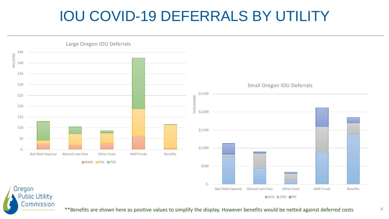# IOU COVID-19 DEFERRALS BY UTILITY



\*\*Benefits are shown here as positive values to simplify the display. However benefits would be netted against deferred costs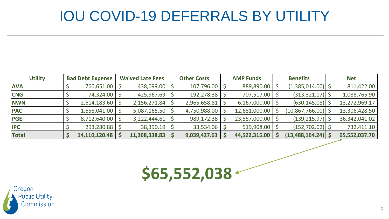### IOU COVID-19 DEFERRALS BY UTILITY

| <b>Utility</b> | <b>Bad Debt Expense</b> | <b>Waived Late Fees</b> | <b>Other Costs</b> | <b>AMP Funds</b> | <b>Benefits</b>      | <b>Net</b>      |
|----------------|-------------------------|-------------------------|--------------------|------------------|----------------------|-----------------|
| <b>AVA</b>     | 760,651.00              | 438,099.00              | 107,796.00         | 889,890.00       | (1,385,014.00)       | 811,422.00      |
| <b>CNG</b>     | 74,324.00               | 425,967.69              | 192,278.38         | 707,517.00       | (313, 321.17)        | 1,086,765.90    |
| <b>NWN</b>     | 2,614,183.60            | 2,156,271.84            | 2,965,658.81       | 6,167,000.00     | (630, 145.08)        | 13,272,969.17   |
| <b>PAC</b>     | 1,655,041.00            | 5,087,165.50            | 4,750,988.00       | 12,681,000.00    | (10,867,766.00)      | 13,306,428.50   |
| <b>PGE</b>     | 8,712,640.00            | 3,222,444.61            | 989,172.38         | 23,557,000.00    | (139, 215.97)        | 36, 342, 041.02 |
| <b>IPC</b>     | 293,280.88              | 38,390.19               | 33,534.06          | 519,908.00       | (152, 702.02)        | 732,411.10      |
| <b>Total</b>   | 14,110,120.48           | 11,368,338.83           | 9,039,427.63       | 44,522,315.00    | $(13,488,164.24)$ \$ | 65,552,037.70   |

**\$65,552,038**